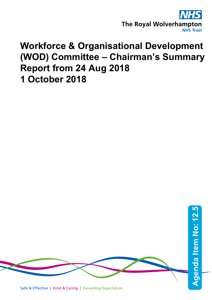

## **Workforce & Organisational Development (WOD) Committee – Chairman's Summary Report from 24 Aug 2018 1 October 2018**

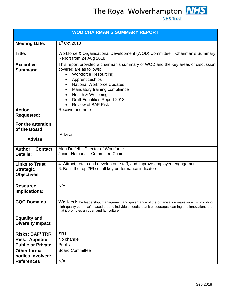The Royal Wolverhampton **NHS**<br>NHS Trust

| <b>WOD CHAIRMAN'S SUMMARY REPORT</b>                           |                                                                                                                                                                                                                                                                                                                                                                                                |  |  |
|----------------------------------------------------------------|------------------------------------------------------------------------------------------------------------------------------------------------------------------------------------------------------------------------------------------------------------------------------------------------------------------------------------------------------------------------------------------------|--|--|
| <b>Meeting Date:</b>                                           | $\overline{1}^{\rm st}$ Oct 2018                                                                                                                                                                                                                                                                                                                                                               |  |  |
| Title:                                                         | Workforce & Organisational Development (WOD) Committee - Chairman's Summary<br>Report from 24 Aug 2018                                                                                                                                                                                                                                                                                         |  |  |
| <b>Executive</b><br><b>Summary:</b>                            | This report provided a chairman's summary of WOD and the key areas of discussion<br>covered are as follows:<br><b>Workforce Resourcing</b><br>$\bullet$<br>Apprenticeships<br>$\bullet$<br><b>National Workforce Updates</b><br>$\bullet$<br>Mandatory training compliance<br>$\bullet$<br>Health & Wellbeing<br>$\bullet$<br><b>Draft Equalities Report 2018</b><br><b>Review of BAF Risk</b> |  |  |
| <b>Action</b><br><b>Requested:</b>                             | Receive and note                                                                                                                                                                                                                                                                                                                                                                               |  |  |
| For the attention<br>of the Board                              |                                                                                                                                                                                                                                                                                                                                                                                                |  |  |
| <b>Advise</b>                                                  | Advise                                                                                                                                                                                                                                                                                                                                                                                         |  |  |
| <b>Author + Contact</b><br><b>Details:</b>                     | Alan Duffell - Director of Workforce<br>Junior Hemans - Committee Chair                                                                                                                                                                                                                                                                                                                        |  |  |
| <b>Links to Trust</b><br><b>Strategic</b><br><b>Objectives</b> | 4. Attract, retain and develop our staff, and improve employee engagement<br>6. Be in the top 25% of all key performance indicators                                                                                                                                                                                                                                                            |  |  |
| <b>Resource</b><br><b>Implications:</b>                        | N/A                                                                                                                                                                                                                                                                                                                                                                                            |  |  |
| <b>CQC Domains</b>                                             | <b>Well-led:</b> the leadership, management and governance of the organisation make sure it's providing<br>high-quality care that's based around individual needs, that it encourages learning and innovation, and<br>that it promotes an open and fair culture.                                                                                                                               |  |  |
| <b>Equality and</b><br><b>Diversity Impact</b>                 |                                                                                                                                                                                                                                                                                                                                                                                                |  |  |
| <b>Risks: BAF/TRR</b>                                          | SR <sub>1</sub>                                                                                                                                                                                                                                                                                                                                                                                |  |  |
| <b>Risk: Appetite</b>                                          | No change                                                                                                                                                                                                                                                                                                                                                                                      |  |  |
| <b>Public or Private:</b>                                      | Public                                                                                                                                                                                                                                                                                                                                                                                         |  |  |
| <b>Other formal</b><br>bodies involved:                        | <b>Board Committee</b>                                                                                                                                                                                                                                                                                                                                                                         |  |  |
| <b>References</b>                                              | N/A                                                                                                                                                                                                                                                                                                                                                                                            |  |  |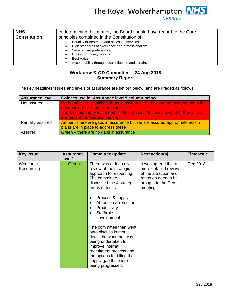

**NHS Trust** 

| <b>NHS</b><br><b>Constitution:</b> | In determining this matter, the Board should have regard to the Core<br>principles contained in the Constitution of:                                                                                                                |  |  |  |
|------------------------------------|-------------------------------------------------------------------------------------------------------------------------------------------------------------------------------------------------------------------------------------|--|--|--|
|                                    | Equality of treatment and access to services<br>High standards of excellence and professionalism<br>Service user preferences<br>Cross community working<br><b>Best Value</b><br>Accountability through local influence and scrutiny |  |  |  |

## **Workforce & OD Committee – 24 Aug 2018 Summary Report**

| The key headlines/issues and levels of assurance are set out below, and are graded as follows: |                                                                                                                                                                                                                                           |  |  |
|------------------------------------------------------------------------------------------------|-------------------------------------------------------------------------------------------------------------------------------------------------------------------------------------------------------------------------------------------|--|--|
| <b>Assurance level</b>                                                                         | Color to use in 'Assurance level*' column below                                                                                                                                                                                           |  |  |
| Not assured                                                                                    | Red - there are significant gaps in assurance and we are not assured as to the<br>adequacy of current action plans<br>If red, commentary is needed in "Next Actions" to indicate what further is steps<br>are required to address the gap |  |  |
| Partially assured                                                                              | Amber - there are gaps in assurance but we are assured appropriate action<br>plans are in place to address these                                                                                                                          |  |  |
| Assured                                                                                        | Green - there are no gaps in assurance                                                                                                                                                                                                    |  |  |

| <b>Key issue</b>        | <b>Assurance</b><br>level* | <b>Committee update</b>                                                                                                                                                                                                                                        | <b>Next action(s)</b>                                                                                                          | <b>Timescale</b> |
|-------------------------|----------------------------|----------------------------------------------------------------------------------------------------------------------------------------------------------------------------------------------------------------------------------------------------------------|--------------------------------------------------------------------------------------------------------------------------------|------------------|
| Workforce<br>Resourcing | Green                      | There was a deep dive<br>review of the strategic<br>approach to resourcing.<br>The committee<br>discussed the 4 strategic<br>areas of focus:<br>Process & supply<br>٠<br>Attraction & retention<br>$\bullet$<br>Productivity<br>٠<br>Staff/role<br>development | It was agreed that a<br>more detailed review<br>of the attraction and<br>retention agenda be<br>brought to the Dec<br>meeting. | Dec 2018         |
|                         |                            | The committee then went<br>onto discuss in more<br>detail the work that was<br>being undertaken to<br>improve internal<br>recruitment process and<br>the options for filling the<br>supply gap that were<br>being progressed.                                  |                                                                                                                                |                  |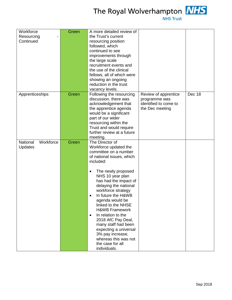## The Royal Wolverhampton **NHS**



| Workforce<br>Resourcing<br>Continued | Green | A more detailed review of<br>the Trust's current<br>resourcing position<br>followed, which<br>continued to see<br>improvements through<br>the large scale<br>recruitment events and<br>the use of the clinical<br>fellows, all of which were<br>showing an ongoing<br>reduction in the trust<br>vacancy levels.                                                                                                                                                                                                                 |                                                                                   |        |
|--------------------------------------|-------|---------------------------------------------------------------------------------------------------------------------------------------------------------------------------------------------------------------------------------------------------------------------------------------------------------------------------------------------------------------------------------------------------------------------------------------------------------------------------------------------------------------------------------|-----------------------------------------------------------------------------------|--------|
| Apprenticeships                      | Green | Following the resourcing<br>discussion, there was<br>acknowledgement that<br>the apprentice agenda<br>would be a significant<br>part of our wider<br>resourcing within the<br>Trust and would require<br>further review at a future<br>meeting.                                                                                                                                                                                                                                                                                 | Review of apprentice<br>programme was<br>identified to come to<br>the Dec meeting | Dec 18 |
| Workforce<br>National<br>Updates     | Green | The Director of<br>Workforce updated the<br>committee on a number<br>of national issues, which<br>included:<br>The newly proposed<br>$\bullet$<br>NHS 10 year plan<br>has had the impact of<br>delaying the national<br>workforce strategy<br>In future the H&WB<br>agenda would be<br>linked to the NHSE<br><b>H&amp;WB Framework</b><br>In relation to the<br>$\bullet$<br>2018 AfC Pay Deal,<br>many staff had been<br>expecting a universal<br>3% pay increase,<br>whereas this was not<br>the case for all<br>individuals. |                                                                                   |        |